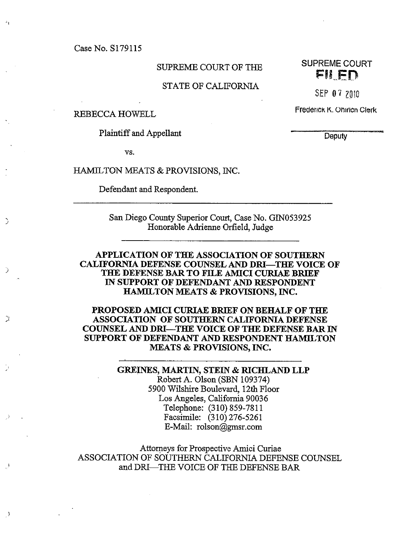Case No. 8179115

#### STATE OF CALifORNIA

J

 $\lambda$ 

Plaintiff and Appellant Deputy

vs.

HAMILTON MEATS & PROVISIONS, INC.

Defendant and Respondent.

San Diego County Superior Court, Case No. G1N053 925 Honorable Adrienne Orfield, Judge

APPLICATION OF THE ASSOCIATION OF SOUTHERN CALIFORNIA DEFENSE COUNSEL AND DRI—THE VOICE OF THE DEFENSE BAR TO FILE AMICI CURIAE BRIEF IN SUPPORT OF DEFENDANT AND RESPONDENT HAMILTON MEATS & PROVISIONS, INC.

PROPOSED AMICI CURIAE BRIEF ON BEHALF OF TILE ASSOCIATION OF SOUTHERN CALIFORNIA DEFENSE COUNSEL AND DRI-THE VOICE OF THE DEFENSE BAR IN SUPPORT OF DEFENDANT AND RESPONDENT HAMILTON MEATS & PROVISIONS, INC.

> GREINES, MARTIN, STEIN & RICHLAND LLP Robert A. Olson (SBN 109374) 5900 Wilshire Boulevard, 12th Floor Los Angeles, California 90036 Telephone: (310) 859-7811 Facsimile: (310) 276-5261 E-Mail: rolson@gmsr.com

Attorneys for Prospective Awici Curiae ASSOCIATION OF SOUTHERN CALIFORNIA DEFENSE COUNSEL and DRI—THE VOICE OF THE DEFENSE BAR

SUPREME COURT OF THE SUPREME COURT

 $SEP$  0 7  $7010$ 

REBECCA HOWELL Frederick K. Ohirlcn Clerk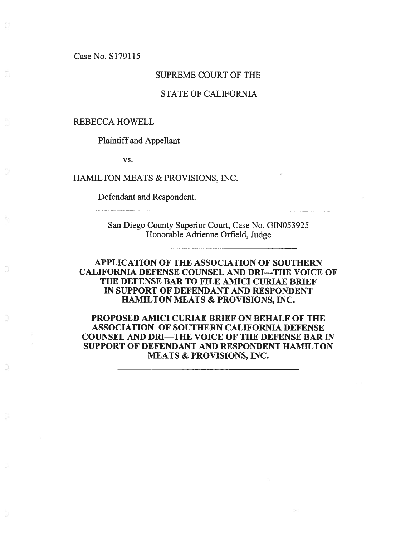Case No. S179115

#### SIJPREME COURT OF THE

#### STATE OF CALIFORNIA

#### REBECCA HOWELL

Plaintiff and Appellant

vs.

HAMILTON MEATS & PROVISIONS, INC.

Defendant and Respondent.

San Diego County Superior Court, Case No. G1N053925 Honorable Adrienne Orfield, Judge

### APPLICATION OF THE ASSOCIATION OF SOUTHERN CALIFORNIA DEFENSE COUNSEL AND DRI—THE VOICE OF THE DEFENSE BAR TO FILE AMICI CURIAE BRIEF IN SUPPORT OF DEFENDANT AND RESPONDENT HAMILTON MEATS & PROVISIONS, INC.

PROPOSED AMICI CURIAE BRIEF ON BEHALF OF THE ASSOCIATION OF SOUTHERN CALIFORNIA DEFENSE COUNSEL AND DRI—THE VOICE OF THE DEFENSE BAR IN SUPPORT OF DEFENDANT AND RESPONDENT HAMILTON MEATS & PROVISIONS, INC.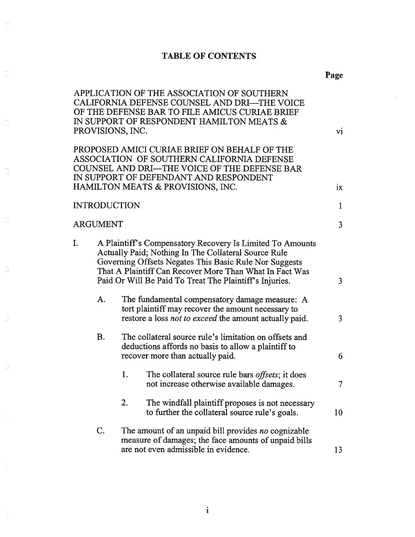### TABLE OF CONTENTS

 $\sum_{k=1}^{\infty}$ 

Ċ.

 $\frac{2}{\omega}$ 

 $\supset$ 

Ö.

 $\overline{\omega}$ 

 $\Im$ 

 $\supset$ 

J.

|    |                     | APPLICATION OF THE ASSOCIATION OF SOUTHERN<br>CALIFORNIA DEFENSE COUNSEL AND DRI-THE VOICE<br>OF THE DEFENSE BAR TO FILE AMICUS CURIAE BRIEF<br>IN SUPPORT OF RESPONDENT HAMILTON MEATS &<br>PROVISIONS, INC.                                                                                     | vi             |
|----|---------------------|---------------------------------------------------------------------------------------------------------------------------------------------------------------------------------------------------------------------------------------------------------------------------------------------------|----------------|
|    |                     | PROPOSED AMICI CURIAE BRIEF ON BEHALF OF THE<br>ASSOCIATION OF SOUTHERN CALIFORNIA DEFENSE<br>COUNSEL AND DRI-THE VOICE OF THE DEFENSE BAR<br>IN SUPPORT OF DEFENDANT AND RESPONDENT<br>HAMILTON MEATS & PROVISIONS, INC.                                                                         | ix             |
|    | <b>INTRODUCTION</b> |                                                                                                                                                                                                                                                                                                   | $\mathbf{1}$   |
|    | ARGUMENT            |                                                                                                                                                                                                                                                                                                   | $\overline{3}$ |
| I. |                     | A Plaintiff's Compensatory Recovery Is Limited To Amounts<br>Actually Paid; Nothing In The Collateral Source Rule<br>Governing Offsets Negates This Basic Rule Nor Suggests<br>That A Plaintiff Can Recover More Than What In Fact Was<br>Paid Or Will Be Paid To Treat The Plaintiff's Injuries. | 3              |
|    | A.                  | The fundamental compensatory damage measure: A<br>tort plaintiff may recover the amount necessary to<br>restore a loss not to exceed the amount actually paid.                                                                                                                                    | $\overline{3}$ |
|    | <b>B.</b>           | The collateral source rule's limitation on offsets and<br>deductions affords no basis to allow a plaintiff to<br>recover more than actually paid.                                                                                                                                                 | 6              |
|    |                     | 1.<br>The collateral source rule bars offsets; it does<br>not increase otherwise available damages.                                                                                                                                                                                               | $\tau$         |
|    |                     | The windfall plaintiff proposes is not necessary<br>2.<br>to further the collateral source rule's goals.                                                                                                                                                                                          | 10             |
|    | C.                  | The amount of an unpaid bill provides no cognizable<br>measure of damages; the face amounts of unpaid bills<br>are not even admissible in evidence.                                                                                                                                               | 13             |

Page

Ŧ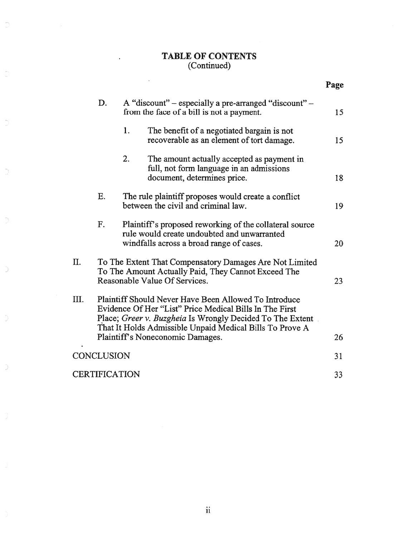#### TABLE OF CONTENTS (Continued)

 $\mathbf{r}$ 

 $\odot$ 

Ď,

Ŭ

 $\mathcal{D}_{\mathcal{C}}^{(n)}$ 

|     |               |    |                                                                                                                                                                                                                                           | Page |
|-----|---------------|----|-------------------------------------------------------------------------------------------------------------------------------------------------------------------------------------------------------------------------------------------|------|
|     | D.            |    | A "discount" – especially a pre-arranged "discount" –<br>from the face of a bill is not a payment.                                                                                                                                        | 15   |
|     |               | 1. | The benefit of a negotiated bargain is not<br>recoverable as an element of tort damage.                                                                                                                                                   | 15   |
|     |               | 2. | The amount actually accepted as payment in<br>full, not form language in an admissions<br>document, determines price.                                                                                                                     | 18   |
|     | E.            |    | The rule plaintiff proposes would create a conflict<br>between the civil and criminal law.                                                                                                                                                | 19   |
|     | F.            |    | Plaintiff's proposed reworking of the collateral source<br>rule would create undoubted and unwarranted<br>windfalls across a broad range of cases.                                                                                        | 20   |
| II. |               |    | To The Extent That Compensatory Damages Are Not Limited<br>To The Amount Actually Paid, They Cannot Exceed The<br>Reasonable Value Of Services.                                                                                           | 23   |
| Ш.  |               |    | Plaintiff Should Never Have Been Allowed To Introduce<br>Evidence Of Her "List" Price Medical Bills In The First<br>Place; Greer v. Buzgheia Is Wrongly Decided To The Extent<br>That It Holds Admissible Unpaid Medical Bills To Prove A |      |
|     |               |    | Plaintiff's Noneconomic Damages.                                                                                                                                                                                                          | 26   |
|     | CONCLUSION    |    |                                                                                                                                                                                                                                           | 31   |
|     | CERTIFICATION |    |                                                                                                                                                                                                                                           | 33   |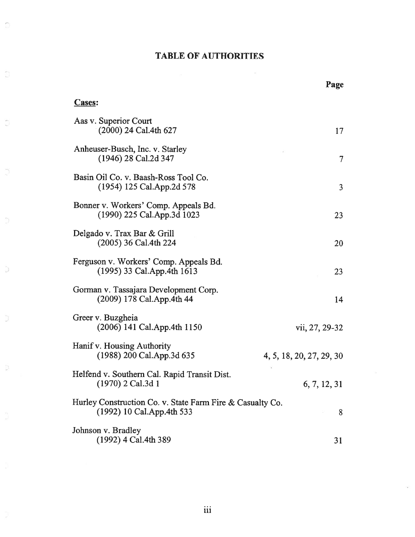#### TABLE OF AUTHORITIES

### Cases: Aas v. Superior Court (2000) 24 Cal.4th 627 17 Anheuser-Busch, Inc. v. Starley (1946) 28 Cal.2d 347 7 Basin Oil Co. v. Baash-Ross Tool Co. (1954) 125 Cal.App.2d 578 3 Bonner v. Workers' Comp. Appeals Bd. (1990) 225 Cal.App.3d 1023 23 Delgado v. Trax Bar & Grill (2005) 36 Cal.4th 224 20 Ferguson v. Workers' Comp. Appeals Bd. (1995) 33 Cal.App.4th 1613 23 Gorman v. Tassajara Development Corp. (2009) 178 Cal.App.4th 44 14 Greer v. Buzgheia (2006) 141 Cal.App.4th 1150 vii, 27, 29-32 Hanif v. Housing Authority (1988) 200 Cal.App.3d 635 4, 5, 18, 20, 27, 29, 30 Helfend v. Southern Cal. Rapid Transit Dist. (1970) 2 Cal.3d 1 6, 7, 12, 31 Hurley Construction Co. v. State Farm Fire & Casualty Co. (1992) 10 Cal.App.4th 533 8 Johnson v. Bradley  $(1992)$  4 Cal.4th 389 31

Page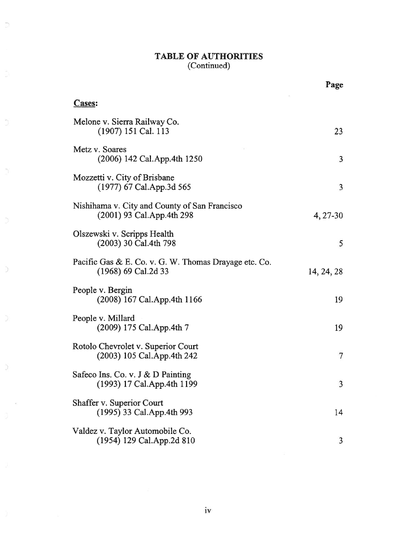#### TABLE OF AUTHORITIES (Continued)

Ø

Ŭ

Ħ

 $\overline{a}$ 

 $\Im$ 

|                                                                                | Page       |
|--------------------------------------------------------------------------------|------------|
| <b>Cases:</b>                                                                  |            |
| Melone v. Sierra Railway Co.<br>(1907) 151 Cal. 113                            | 23         |
| Metz v. Soares<br>(2006) 142 Cal. App. 4th 1250                                | 3          |
| Mozzetti v. City of Brisbane<br>$(1977)$ 67 Cal.App.3d 565                     | 3          |
| Nishihama v. City and County of San Francisco<br>$(2001)$ 93 Cal. App. 4th 298 | 4, 27-30   |
| Olszewski v. Scripps Health<br>(2003) 30 Cal.4th 798                           | 5          |
| Pacific Gas & E. Co. v. G. W. Thomas Drayage etc. Co.<br>(1968) 69 Cal.2d 33   | 14, 24, 28 |
| People v. Bergin<br>(2008) 167 Cal. App. 4th 1166                              | 19         |
| People v. Millard<br>(2009) 175 Cal.App.4th 7                                  | 19         |
| Rotolo Chevrolet v. Superior Court<br>$(2003)$ 105 Cal.App.4th 242             | 7          |
| Safeco Ins. Co. v. J & D Painting<br>(1993) 17 Cal.App.4th 1199                | 3          |
| Shaffer v. Superior Court<br>(1995) 33 Cal.App.4th 993                         | 14         |
| Valdez v. Taylor Automobile Co.<br>(1954) 129 Cal.App.2d 810                   | 3          |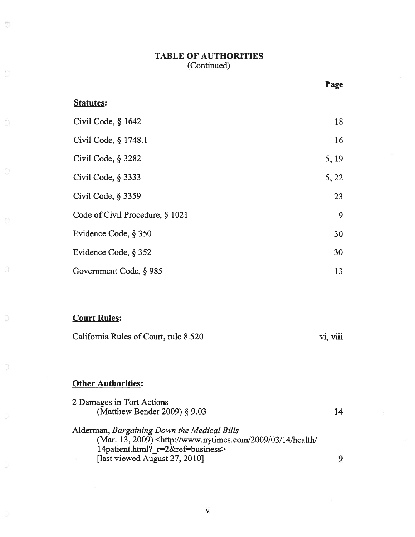#### TABLE OF AUTHORITIES (Continued)

|                                 | Page  |
|---------------------------------|-------|
| <b>Statutes:</b>                |       |
| Civil Code, § 1642              | 18    |
| Civil Code, § 1748.1            | 16    |
| Civil Code, § 3282              | 5, 19 |
| Civil Code, § 3333              | 5, 22 |
| Civil Code, § 3359              | 23    |
| Code of Civil Procedure, § 1021 | 9     |
| Evidence Code, § 350            | 30    |
| Evidence Code, § 352            | 30    |
| Government Code, § 985          | 13    |
|                                 |       |
|                                 |       |

### Court Rules:

 $\odot$ 

D

 $\overline{\mathbb{D}}$ 

Ð

 $\overline{\cup}$ 

 $\frac{1}{\sqrt{2}}$ 

D

| California Rules of Court, rule 8.520 | <b>V1. V111</b> |
|---------------------------------------|-----------------|
|---------------------------------------|-----------------|

### **Other Authorities:**

| 2 Damages in Tort Actions                                                                            |    |
|------------------------------------------------------------------------------------------------------|----|
| (Matthew Bender 2009) $\S$ 9.03                                                                      | 14 |
| Alderman, Bargaining Down the Medical Bills                                                          |    |
| (Mar. 13, 2009) <http: 03="" 14="" 2009="" <="" health="" td="" www.nytimes.com=""><td></td></http:> |    |
| 14patient.html? r=2&ref=business>                                                                    |    |
| [last viewed August 27, 2010]                                                                        |    |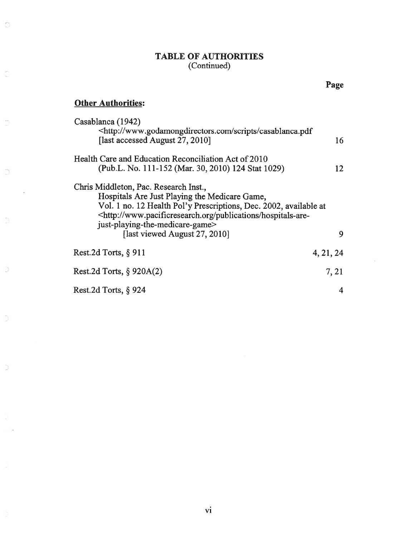#### TABLE OF AUTHORITIES (Continued)

### **Other Authorities:**

 $\mathbb{S}$ 

 $\overline{\mathbb{C}}$ 

ij

 $\bigcup_{i=1}^n \bigcup_{i=1}^n \bigcup_{i=1}^n \bigcup_{i=1}^n \bigcup_{i=1}^n \bigcup_{i=1}^n \bigcup_{i=1}^n \bigcup_{i=1}^n \bigcup_{i=1}^n \bigcup_{i=1}^n \bigcup_{i=1}^n \bigcup_{i=1}^n \bigcup_{i=1}^n \bigcup_{i=1}^n \bigcup_{i=1}^n \bigcup_{i=1}^n \bigcup_{i=1}^n \bigcup_{i=1}^n \bigcup_{i=1}^n \bigcup_{i=1}^n \bigcup_{i=1}^n \bigcup_{i=1}^n$ 

α

Ō.

 $\supset$ 

C

 $\epsilon$ 

| Casablanca (1942)<br><http: casablanca.pdf<="" scripts="" th="" www.godamongdirectors.com=""><th></th></http:>                                                                                                                                                                                                     |           |
|--------------------------------------------------------------------------------------------------------------------------------------------------------------------------------------------------------------------------------------------------------------------------------------------------------------------|-----------|
| [last accessed August 27, 2010]                                                                                                                                                                                                                                                                                    | 16        |
| Health Care and Education Reconciliation Act of 2010                                                                                                                                                                                                                                                               |           |
| (Pub.L. No. 111-152 (Mar. 30, 2010) 124 Stat 1029)                                                                                                                                                                                                                                                                 | 12        |
| Chris Middleton, Pac. Research Inst.,<br>Hospitals Are Just Playing the Medicare Game,<br>Vol. 1 no. 12 Health Pol'y Prescriptions, Dec. 2002, available at<br><http: hospitals-are-<br="" publications="" www.pacificresearch.org="">just-playing-the-medicare-game&gt;<br/>[last viewed August 27, 2010]</http:> | 9         |
| Rest.2d Torts, $\S$ 911                                                                                                                                                                                                                                                                                            | 4, 21, 24 |
| Rest.2d Torts, $\S$ 920A(2)                                                                                                                                                                                                                                                                                        | 7, 21     |
| Rest.2d Torts, $\S$ 924                                                                                                                                                                                                                                                                                            | 4         |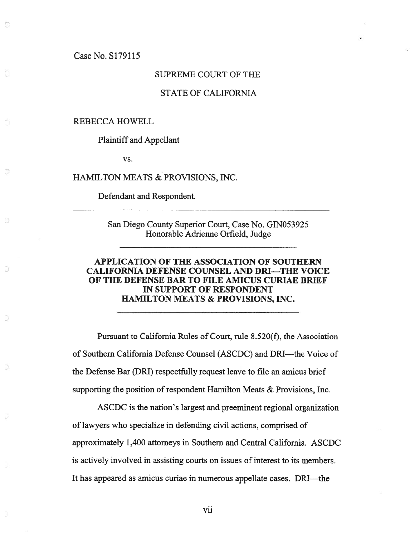Case No. S1791l5

#### SUPREME COURT OF THE

#### STATE OF CALIFORNIA

#### REBECCA HOWELL

Plaintiff and Appellant

vs.

HAMILTON MEATS & PROVISIONS, INC.

Defendant and Respondent.

San Diego County Superior Court, Case No. G1N053925 Honorable Adrienne Orfield, Judge

#### APPLICATION OF THE ASSOCIATION OF SOUTHERN CALIFORNIA DEFENSE COUNSEL AND DRI—THE VOICE OF THE DEFENSE BAR TO FILE AMICUS CURIAE BRIEF IN SUPPORT OF RESPONDENT HAMILTON MEATS & PROVISIONS, INC.

Pursuant to California Rules of Court, rule 8.520(f), the Association of Southern California Defense Counsel (ASCDC) and DRI—the Voice of the Defense Bar (DRI) respectfully reques<sup>t</sup> leave to file an amicus brief supporting the position of respondent Hamilton Meats  $&$  Provisions, Inc.

ASCDC is the nation's largest and preeminent regional organization of lawyers who specialize in defending civil actions, comprised of approximately 1,400 attorneys in Southern and Central California. ASCDC is actively involved in assisting courts on issues of interest to its members. It has appeared as amicus curiae in numerous appellate cases. DRI—the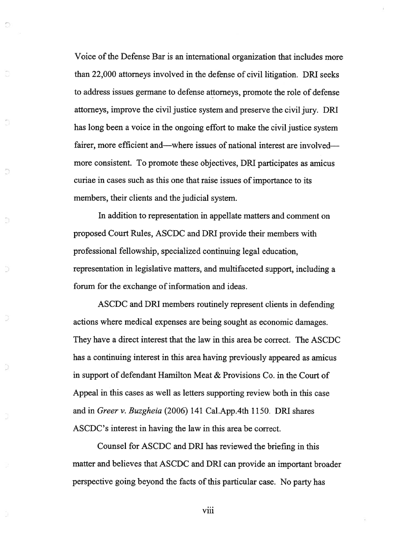Voice of the Defense Bar is an international organization that includes more than 22,000 attorneys involved in the defense of civil litigation. DRI seeks to address issues germane to defense attorneys, promote the role of defense attorneys, improve the civil justice system and preserve the civil jury. DRI has long been <sup>a</sup> voice in the ongoing effort to make the civil justice system fairer, more efficient and—where issues of national interest are involved more consistent. To promote these objectives, DRI participates as amicus curiae in cases such as this one that raise issues of importance to its members, their clients and the judicial system.

J

D

In addition to representation in appellate matters and comment on proposed Court Rules, ASCDC and DRI provide their members with professional fellowship, specialized continuing legal education, representation in legislative matters, and multifaceted support, including <sup>a</sup> forum for the exchange of information and ideas.

ASCDC and DRI members routinely represen<sup>t</sup> clients in defending actions where medical expenses are being sought as economic damages. They have <sup>a</sup> direct interest that the law in this area be correct. The ASCDC has <sup>a</sup> continuing interest in this area having previously appeared as amicus in suppor<sup>t</sup> of defendant Hamilton Meat & Provisions Co. in the Court of Appeal in this cases as well as letters supporting review both in this case and in Greer v. Buzgheia (2006) 141 Cal.App.4th 1150. DRJ shares ASCDC's interest in having the law in this area be correct.

Counsel for ASCDC and DRI has reviewed the briefing in this matter and believes that ASCDC and DRI can provide an important broader perspective going beyond the facts of this particular case. No party has

viii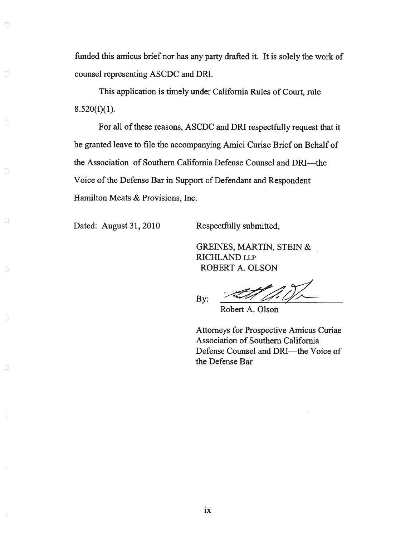funded this amicus brief nor has any party drafted it. It is solely the work of counsel representing ASCDC and DRI.

This application is timely under California Rules of Court, rule  $8.520(f)(1)$ .

For all of these reasons, ASCDC and DRI respectfully reques<sup>t</sup> that it be granted leave to file the accompanying Amici Curiae Brief on Behalf of the Association of Southern California Defense Counsel and DRI—the Voice of the Defense Bar in Support of Defendant and Respondent Hamilton Meats & Provisions, Inc.

Dated: August 31, 2010 Respectfully submitted,

O

a

D

GREINES, MARTIN, STEIN & RICHLAND LLP ROBERT A. OLSON

By:  $\frac{1}{\sqrt{1-\frac{1}{\sqrt{1-\frac{1}{\sqrt{1-\frac{1}{\sqrt{1-\frac{1}{\sqrt{1-\frac{1}{\sqrt{1-\frac{1}{\sqrt{1-\frac{1}{\sqrt{1-\frac{1}{\sqrt{1-\frac{1}{\sqrt{1-\frac{1}{\sqrt{1-\frac{1}{\sqrt{1-\frac{1}{\sqrt{1-\frac{1}{\sqrt{1-\frac{1}{\sqrt{1-\frac{1}{\sqrt{1-\frac{1}{\sqrt{1-\frac{1}{\sqrt{1-\frac{1}{\sqrt{1-\frac{1}{\sqrt{1-\frac{1}{\sqrt{1-\frac{1}{\sqrt{1-\frac{1}{\sqrt{1-\frac{1}{\sqrt{1$ 

Robert A. Olson

Attorneys for Prospective Amicus Curiae Association of Southern California Defense Counsel and DRI—the Voice of the Defense Bar

ix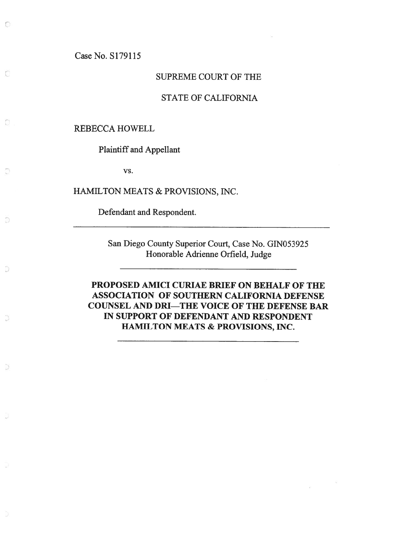Case No. S179115

 $\bigcirc$ 

 $\Box$ 

 $\circlearrowright$ 

D

### SUPREME COURT OF THE

### STATE OF CALIFORNIA

#### REBECCA HOWELL

Plaintiff and Appellant

vs.

HAMILTON MEATS & PROVISIONS, INC.

Defendant and Respondent.

San Diego County Superior Court, Case No. GIN053925 Honorable Adrienne Orfield, Judge

PROPOSED AMICI CURIAE BRIEF ON BEHALF OF THE ASSOCIATION OF SOUTHERN CALIFORNIA DEFENSE COUNSEL AND DRI—THE VOICE OF THE DEFENSE BAR IN SUPPORT OF DEFENDANT AND RESPONDENT HAMILTON MEATS & PROVISIONS, INC.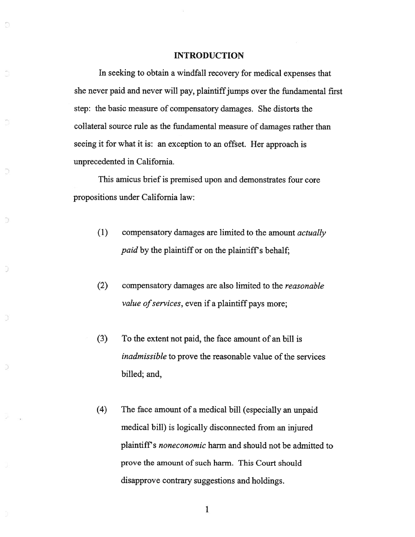#### INTRODUCTION

Ð

ð

In seeking to obtain <sup>a</sup> windfall recovery for medical expenses that she never paid and never will pay, plaintiff jumps over the fundamental first step: the basic measure of compensatory damages. She distorts the collateral source rule as the fundamental measure of damages rather than seeing it for what it is: an exception to an offset. Her approac<sup>h</sup> is unprecedented in California.

This amicus brief is premised upon and demonstrates four core propositions under California law:

- (1) compensatory damages are limited to the amount actually paid by the plaintiff or on the plaintiff's behalf;
- (2) compensatory damages are also limited to the reasonable value of services, even if a plaintiff pays more;
- (3) To the extent not paid, the face amount of an bill is inadmissible to prove the reasonable value of the services billed; and,
- (4) The face amount of <sup>a</sup> medical bill (especially an unpaid medical bill) is logically disconnected from an injured plaintiff's noneconomic harm and should not be admitted to prove the amount of such harm. This Court should disapprove contrary suggestions and holdings.

 $\mathbf{1}$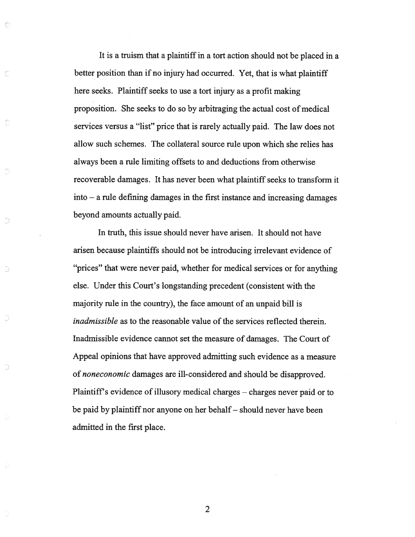It is <sup>a</sup> truism that <sup>a</sup> plaintiffin <sup>a</sup> tort action should not be placed in <sup>a</sup> better position than if no injury had occurred. Yet, that is what plaintiff here seeks. Plaintiff seeks to use <sup>a</sup> tort injury as <sup>a</sup> profit making proposition. She seeks to do so by arbitraging the actual cost of medical services versus <sup>a</sup> "list" price that is rarely actually paid. The law does not allow such schemes. The collateral source rule upon which she relies has always been <sup>a</sup> rule limiting offsets to and deductions from otherwise recoverable damages. It has never been what plaintiff seeks to transform it into — <sup>a</sup> rule defining damages in the first instance and increasing damages beyond amounts actually paid.

O

C

Ö

D

D

In truth, this issue should never have arisen. It should not have arisen because plaintiffs should not be introducing irrelevant evidence of "prices" that were never paid, whether for medical services or for anything else. Under this Court's longstanding precedent (consistent with the majority rule in the country), the face amount of an unpaid bill is inadmissible as to the reasonable value of the services reflected therein. Inadmissible evidence cannot set the measure of damages. The Court of Appeal opinions that have approved admitting such evidence as <sup>a</sup> measure of noneconomic damages are ill-considered and should be disapproved. Plaintiff's evidence of illusory medical charges — charges never paid or to be paid by plaintiff nor anyone on her behalf— should never have been admitted in the first place.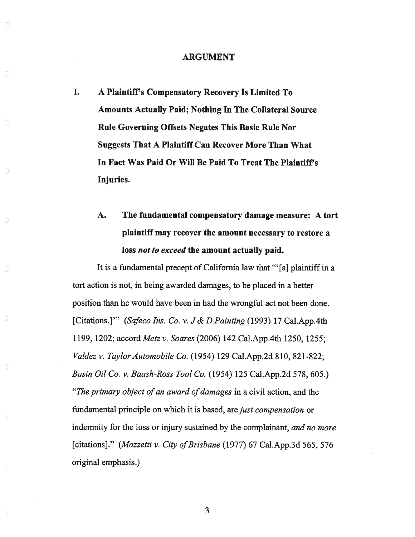#### ARGUMENT

I. A Plaintiff's Compensatory Recovery Is Limited To Amounts Actually Paid; Nothing In The Collateral Source Rule Governing Offsets Negates This Basic Rule Nor Suggests That A Plaintiff Can Recover More Than What In Fact Was Paid Or Will Be Paid To Treat The Plaintiff's Injuries.

Ð

Ð

# A. The fundamental compensatory damage measure: A tort plaintiff may recover the amount necessary to restore <sup>a</sup> loss not to exceed the amount actually paid.

It is <sup>a</sup> fundamental precep<sup>t</sup> of California law that " [a] plaintiff in <sup>a</sup> tort action is not, in being awarded damages, to be placed in <sup>a</sup> better position than he would have been in had the wrongful act not been done. [Citations.]" (Safeco Ins. Co. v. J & D Painting (1993) 17 Cal.App.4th 1199, 1202; accord Metz v. Soares (2006) 142 Cal.App.4th 1250, 1255; Valdez v. Taylor Automobile Co. (1954) 129 Cal.App.2d 810, 821-822; Basin Oil Co. v. Baash-Ross Tool Co. (1954) 125 Cal.App.2d 578, 605.) "The primary object of an award of damages in a civil action, and the fundamental principle on which it is based, are just compensation or indemnity for the loss or injury sustained by the complainant, and no more [citations]." (Mozzetti v. City of Brisbane (1977) 67 Cal.App.3d 565, 576 original emphasis.)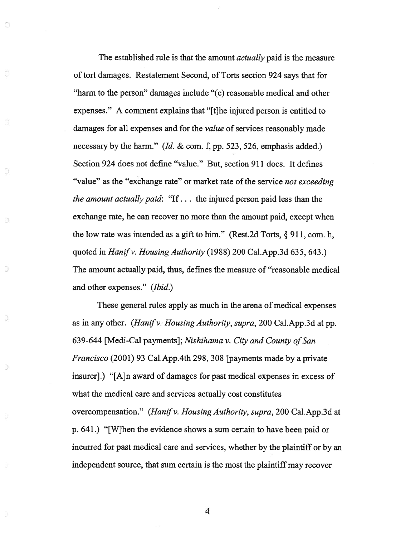The established rule is that the amount *actually* paid is the measure of tort damages. Restatement Second, of Torts section 924 says that for "harm to the person" damages include "(c) reasonable medical and other expenses." A comment explains that "[t]he injured person is entitled to damages for all expenses and for the value of services reasonably made necessary by the harm." (Id. & com. f, pp. 523, 526, emphasis added.) Section 924 does not define "value." But, section 911 does. It defines "value" as the "exchange rate" or market rate of the service not exceeding the amount actually paid: "If... the injured person paid less than the exchange rate, he can recover no more than the amount paid, excep<sup>t</sup> when the low rate was intended as a gift to him." (Rest.2d Torts,  $\S 911$ , com. h, quoted in Hanif v. Housing Authority (1988) 200 Cal.App.3d  $635, 643$ .) The amount actually paid, thus, defines the measure of "reasonable medical and other expenses." (Ibid.)

O)

D

D

Ð

Э

D

D

These general rules apply as much in the arena of medical expenses as in any other. (Hanif v. Housing Authority, supra, 200 Cal.App.3d at pp. 639-644 [Medi-Cal payments]; Nishihama v. City and County of San Francisco (2001) 93 Cal.App.4th 298, 308 [payments made by <sup>a</sup> private insurer].) "[A]n award of damages for pas<sup>t</sup> medical expenses in excess of what the medical care and services actually cost constitutes overcompensation." (Hanif v. Housing Authority, supra, 200 Cal.App.3d at p. 641.) "[W]hen the evidence shows <sup>a</sup> sum certain to have been paid or incurred for pas<sup>t</sup> medical care and services, whether by the plaintiff or by an independent source, that sum certain is the most the plaintiff may recover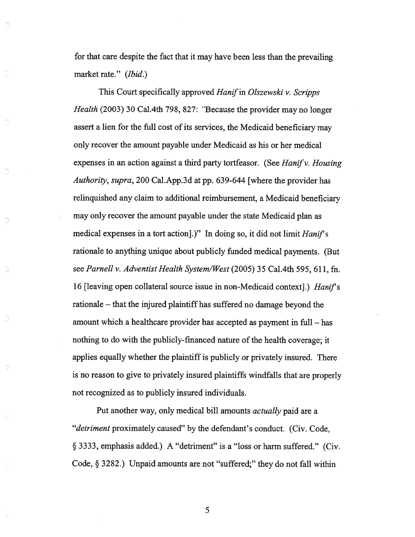for that care despite the fact that it may have been less than the prevailing market rate." (*Ibid*.)

Ð

Ð

This Court specifically approved Hanif in Olszewski v. Scripps Health (2003) 30 Cal.4th 798, 827: "Because the provider may no longer assert <sup>a</sup> lien for the full cost of its services, the Medicaid beneficiary may only recover the amount payable under Medicaid as his or her medical expenses in an action against a third party tortfeasor. (See *Hanif v. Housing* Authority, supra, <sup>200</sup> Cal.App.3d at pp. 639-644 [where the provider has relinquished any claim to additional reimbursement, <sup>a</sup> Medicaid beneficiary may only recover the amount payable under the state Medicaid plan as medical expenses in a tort action].)" In doing so, it did not limit *Hanif's* rationale to anything unique about publicly funded medical payments. (But see Parnell v. Adventist Health System/West (2005) 35 Cal.4th 595, 611, fn. 16 [leaving open collateral source issue in non-Medicaid context].) Hanif's rationale — that the injured plaintiff has suffered no damage beyond the amount which <sup>a</sup> healthcare provider has accepted as paymen<sup>t</sup> in full — has nothing to do with the publicly-financed nature of the health coverage; it applies equally whether the plaintiff is publicly or privately insured. There is no reason to <sup>g</sup>ive to privately insured <sup>p</sup>laintiffs windfalls that are properly not recognized as to publicly insured individuals.

Put another way, oniy medical bill amounts actually paid are <sup>a</sup> "detriment proximately caused" by the defendant's conduct. (Civ. Code, § 3333, emphasis added.) <sup>A</sup> "detriment" is <sup>a</sup> "loss or harm suffered." (Civ. Code, § 3282.) Unpaid amounts are not "suffered;" they do not fall within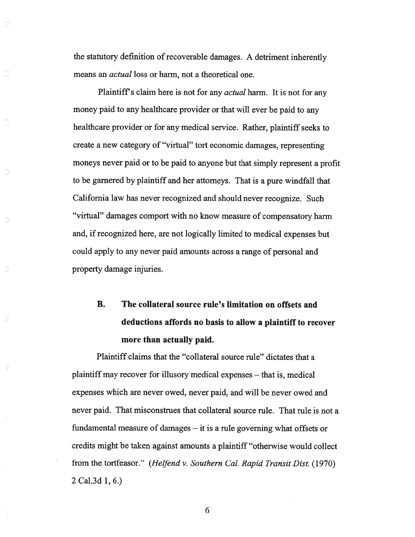the statutory definition of recoverable damages. A detriment inherently means an *actual* loss or harm, not a theoretical one.

Plaintiff's claim here is not for any *actual* harm. It is not for any money paid to any healthcare provider or that will ever be paid to any healthcare provider or for any medical service. Rather, plaintiff seeks to create <sup>a</sup> new category of "virtual" tort economic damages, representing moneys never paid or to be paid to anyone but that simply represen<sup>t</sup> <sup>a</sup> profit to be garnered by plaintiff and her attorneys. That is <sup>a</sup> pure windfall that California law has never recognized and should never recognize. Such "virtual" damages compor<sup>t</sup> with no know measure of compensatory harm and, if recognized here, are not logically limited to medical expenses but could apply to any never paid amounts across <sup>a</sup> range of persona<sup>l</sup> and property damage injuries.

## B. The collateral source rule's limitation on offsets and deductions affords no basis to allow <sup>a</sup> plaintiff to recover more than actually paid.

Plaintiff claims that the "collateral source rule" dictates that <sup>a</sup> plaintiff may recover for illusory medical expenses — that is, medical expenses which are never owed, never paid, and will be never owed and never paid. That misconstrues that collateral source rule. That rule is not <sup>a</sup> fundamental measure of damages — it is <sup>a</sup> rule governing what offsets or credits might be taken against amounts <sup>a</sup> plaintiff "otherwise would collect from the tortfeasor." (Helfend v. Southern Cal. Rapid Transit Dist. (1970) 2 Cal.3d 1, 6.)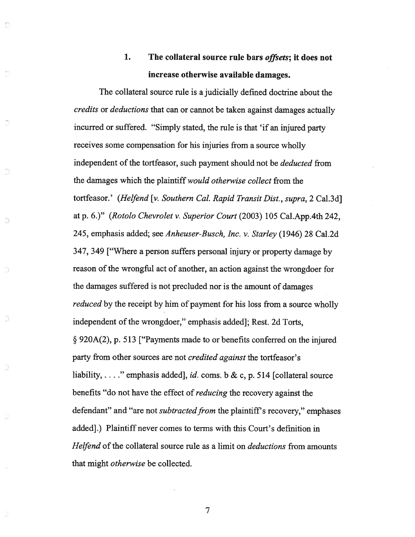### 1. The collateral source rule bars offsets; it does not increase otherwise available damages.

Ð

D

The collateral source rule is <sup>a</sup> judicially defined doctrine about the credits or deductions that can or cannot be taken against damages actually incurred or suffered. "Simply stated, the rule is that 'if an injured party receives some compensation for his injuries from <sup>a</sup> source wholly independent of the tortfeasor, such payment should not be *deducted* from the damages which the plaintiff would otherwise collect from the tortfeasor.' (Helfend [v. Southern Cal. Rapid Transit Dist., supra, 2 Cal.3d] at p. 6.)" (Rotolo Chevrolet v. Superior Court (2003) <sup>105</sup> Cal.App.4th 242, 245, emphasis added; see Anheuser-Busch, Inc. v. Starley (1946) 28 Cal.2d 347, <sup>349</sup> ["Where <sup>a</sup> person suffers persona<sup>l</sup> injury or property damage by reason of the wrongful act of another, an action against the wrongdoer for the damages suffered is not precluded nor is the amount of damages reduced by the receipt by him of payment for his loss from a source wholly independent of the wrongdoer," emphasis added]; Rest. 2d Torts, § 920A(2), p. <sup>513</sup> ["Payments made to or benefits conferred on the injured party from other sources are not *credited against* the tortfeasor's liability, ... " emphasis added], id. coms. b & c, p. 514 [collateral source benefits "do not have the effect of reducing the recovery against the defendant" and "are not subtracted from the plaintiff's recovery," emphases added].) Plaintiff never comes to terms with this Court's definition in Helfend of the collateral source rule as a limit on *deductions* from amounts that might otherwise be collected.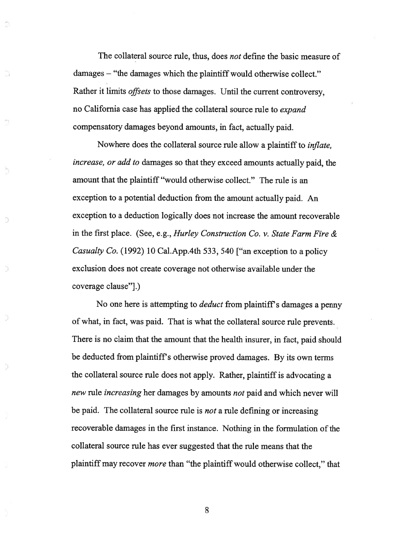The collateral source rule, thus, does not define the basic measure of damages — "the damages which the plaintiff would otherwise collect." Rather it limits offsets to those damages. Until the current controversy, no California case has applied the collateral source rule to expand compensatory damages beyond amounts, in fact, actually paid.

Nowhere does the collateral source rule allow <sup>a</sup> <sup>p</sup>laintiff to inflate, increase, or add to damages so that they exceed amounts actually paid, the amount that the plaintiff "would otherwise collect." The rule is an exception to <sup>a</sup> potential deduction from the amount actually paid. An exception to <sup>a</sup> deduction logically does not increase the amount recoverable in the first place. (See, e.g., Hurley Consfruction Co. v. State Farm Fire & Casualty Co. (1992) 10 Cal.App.4th 533, 540 ["an exception to <sup>a</sup> policy exclusion does not create coverage not otherwise available under the coverage clause"].)

Ð

ð

No one here is attempting to *deduct* from plaintiff's damages a penny of what, in fact, was paid. That is what the collateral source rule prevents. There is no claim that the amount that the health insurer, in fact, paid should be deducted from plaintiff's otherwise proved damages. By its own terms the collateral source rule does not apply. Rather, <sup>p</sup>laintiff is advocating <sup>a</sup> new rule increasing her damages by amounts not paid and which never will be paid. The collateral source rule is *not* a rule defining or increasing recoverable damages in the first instance. Nothing in the formulation of the collateral source rule has ever suggested that the rule means that the plaintiff may recover *more* than "the plaintiff would otherwise collect," that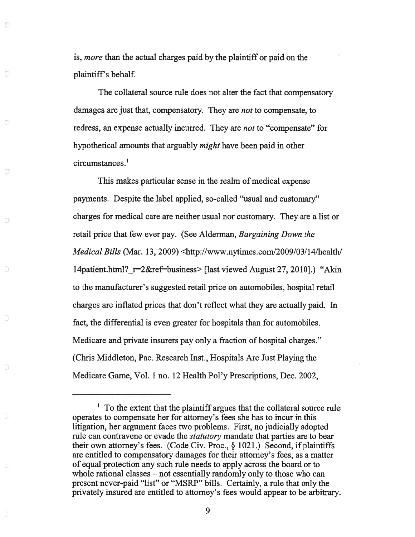is, more than the actual charges paid by the plaintiff or paid on the plaintiff's behalf.

0

Э

The collateral source rule does not alter the fact that compensatory damages are just that, compensatory. They are *not* to compensate, to redress, an expense actually incurred. They are not to "compensate" for hypothetical amounts that arguably might have been paid in other circumstances.'

This makes particular sense in the realm of medical expense payments. Despite the label applied, so-called "usual and customary" charges for medical care are neither usual nor customary. They are <sup>a</sup> list or retail price that few ever pay. (See Alderman, Bargaining Down the Medical Bills (Mar. 13, 2009) <http://www.nytimes.com/2009/03/14/health/ l4patient.html?\_r=2&ref=business> [last viewed August 27, 2010].) "Akin to the manufacturer's suggested retail price on automobiles, hospital retail charges are inflated prices that don't reflect what they are actually paid. In fact, the differential is even greater for hospitals than for automobiles. Medicare and private insurers pay only <sup>a</sup> fraction of hospital charges." (Chris Middleton, Pac. Research Inst., Hospitals Are Just Playing the Medicare Game, Vol. 1 no. 12 Health Pol'y Prescriptions, Dec. 2002,

 $1$  To the extent that the plaintiff argues that the collateral source rule operates to compensate her for attorney's fees she has to incur in this litigation, her argumen<sup>t</sup> faces two problems. First, no judicially adopted rule can contravene or evade the statutory mandate that parties are to bear their own attorney's fees. (Code Civ. Proc., § 1021.) Second, if <sup>p</sup>laintiffs are entitled to compensatory damages for their attorney's fees, as <sup>a</sup> matter of equal protection any such rule needs to apply across the board or to whole rational classes — not essentially randomly only to those who can presen<sup>t</sup> never-paid "list" or "MSRP" bills. Certainly, <sup>a</sup> rule that only the privately insured are entitled to attorney's fees would appear to be arbitrary.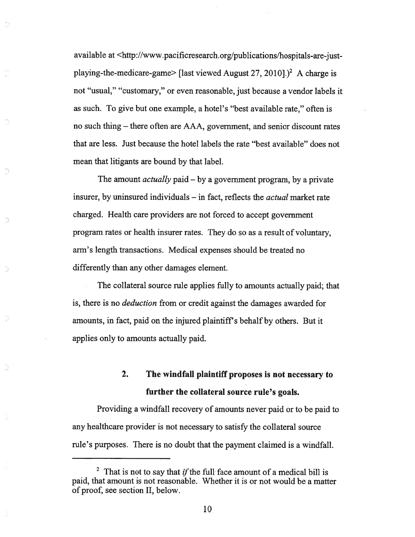available at <http ://www.pacificresearch.org/publications/hospitals-are-just playing-the-medicare-game> [last viewed August 27, 2010].)<sup>2</sup> A charge is not "usual," "customary," or even reasonable, just because <sup>a</sup> vendor labels it as such. To give but one example, <sup>a</sup> hotel's "best available rate," often is no such thing — there often are AAA, government, and senior discount rates that are less. Just because the hotel labels the rate "best available" does not mean that litigants are bound by that label.

The amount *actually* paid – by a government program, by a private insurer, by uninsured individuals — in fact, reflects the actual market rate charged. Health care providers are not forced to accep<sup>t</sup> governmen<sup>t</sup> program rates or health insurer rates. They do so as <sup>a</sup> result of voluntary, arm's length transactions. Medical expenses should be treated no differently than any other damages element.

9

The collateral source rule applies fully to amounts actually paid; that is, there is no deduction from or credit against the damages awarded for amounts, in fact, paid on the injured plaintiff's behalf by others. But it applies only to amounts actually paid.

### 2. The windfall plaintiff proposes is not necessary to further the collateral source rule's goals.

Providing <sup>a</sup> windfall recovery of amounts never paid or to be paid to any healthcare provider is not necessary to satisfy the collateral source rule's purposes. There is no doubt that the paymen<sup>t</sup> claimed is <sup>a</sup> windfall.

<sup>&</sup>lt;sup>2</sup> That is not to say that *if* the full face amount of a medical bill is paid, that amount is not reasonable. Whether it is or not would be <sup>a</sup> matter of proof, see section II, below.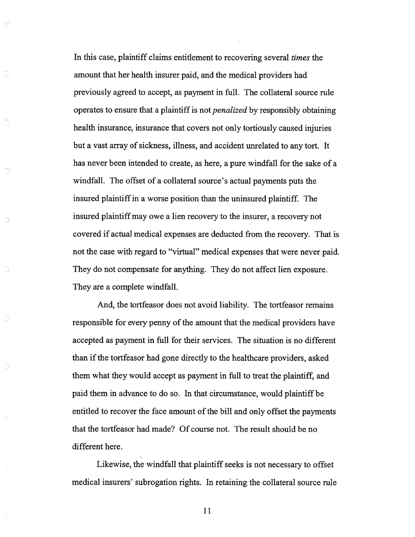In this case, plaintiff claims entitlement to recovering several *times* the amount that her health insurer paid, and the medical providers had previously agreed to accept, as paymen<sup>t</sup> in full. The collateral source rule operates to ensure that a plaintiff is not *penalized* by responsibly obtaining health insurance, insurance that covers not only tortiously caused injuries but a vast array of sickness, illness, and accident unrelated to any tort. It has never been intended to create, as here, <sup>a</sup> pure windfall for the sake of <sup>a</sup> windfall. The offset of <sup>a</sup> collateral source's actual payments puts the insured plaintiff in <sup>a</sup> worse position than the uninsured plaintiff. The insured plaintiffmay owe a lien recovery to the insurer, a recovery not covered if actual medical expenses are deducted from the recovery. That is not the case with regard to "virtual" medical expenses that were never paid. They do not compensate for anything. They do not affect lien exposure. They are <sup>a</sup> complete windfall.

O

Ð

And, the tortfeasor does not avoid liability. The tortfeasor remains responsible for every penny of the amount that the medical providers have accepted as paymen<sup>t</sup> in full for their services. The situation is no different than if the tortfeasor had gone directly to the healthcare providers, asked them what they would accep<sup>t</sup> as paymen<sup>t</sup> in full to treat the plaintiff, and paid them in advance to do so. In that circumstance, would plaintiff be entitled to recover the face amount of the bill and only offset the payments that the tortfeasor had made? Of course not. The result should be no different here.

Likewise, the windfall that plaintiff seeks is not necessary to offset medical insurers' subrogation rights. In retaining the collateral source rule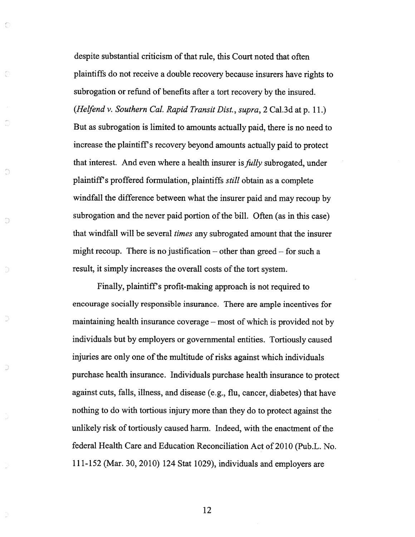despite substantial criticism of that rule, this Court noted that often <sup>p</sup>laintiffs do not receive <sup>a</sup> double recovery because insurers have rights to subrogation or refund of benefits after <sup>a</sup> tort recovery by the insured. (Hefend v. Southern Cal. Rapid Transit Dist., supra, <sup>2</sup> Cal.3d at p. 11.) But as subrogation is limited to amounts actually paid, there is no need to increase the plaintiff's recovery beyond amounts actually paid to protect that interest. And even where a health insurer is *fully* subrogated, under <sup>p</sup>laintiffs proffered formulation, <sup>p</sup>laintiffs still obtain as <sup>a</sup> complete windfall the difference between what the insurer paid and may recoup by subrogation and the never paid portion of the bill. Often (as in this case) that windfall will be several times any subrogated amount that the insurer might recoup. There is no justification — other than greed — for such <sup>a</sup> result, it simply increases the overall costs of the tort system.

O

Э

Ð

D

Finally, plaintiff's profit-making approach is not required to encourage socially responsible insurance. There are ample incentives for maintaining health insurance coverage — most of which is provided not by individuals but by employers or governmental entities. Tortiously caused injuries are only one of the multitude of risks against which individuals purchase health insurance. Individuals purchase health insurance to protect against cuts, falls, illness, and disease (e.g., flu, cancer, diabetes) that have nothing to do with tortious injury more than they do to protect against the unlikely risk of tortiously caused harm. Indeed, with the enactment of the federal Health Care and Education Reconciliation Act of 2010 (Pub.L. No. 111-152 (Mar. 30, 2010) <sup>124</sup> Stat 1029), individuals and employers are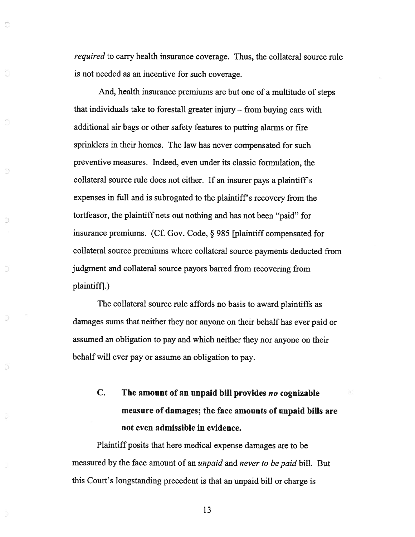required to carry health insurance coverage. Thus, the collateral source rule is not needed as an incentive for such coverage.

And, health insurance premiums are but one of <sup>a</sup> multitude of steps that individuals take to forestall greater injury — from buying cars with additional air bags or other safety features to putting alarms or fire sprinklers in their homes. The law has never compensated for such preventive measures. Indeed, even under its classic formulation, the collateral source rule does not either. If an insurer pays <sup>a</sup> <sup>p</sup>laintiff's expenses in full and is subrogated to the plaintiff's recovery from the tortfeasor, the <sup>p</sup>laintiff nets out nothing and has not been "paid" for insurance premiums. (Cf. Gov. Code, § <sup>985</sup> [plaintiff compensated for collateral source premiums where collateral source payments deducted from judgment and collateral source payors barred from recovering from plaintiff].)

Ð

The collateral source rule affords no basis to award plaintiffs as damages sums that neither they nor anyone on their behalf has ever paid or assumed an obligation to pay and which neither they nor anyone on their behalf will ever pay or assume an obligation to pay.

C. The amount of an unpaid bill provides no cognizable measure of damages; the face amounts of unpaid bills are not even admissible in evidence.

Plaintiff posits that here medical expense damages are to be measured by the face amount of an unpaid and never to be paid bill. But this Court's longstanding precedent is that an unpaid bill or charge is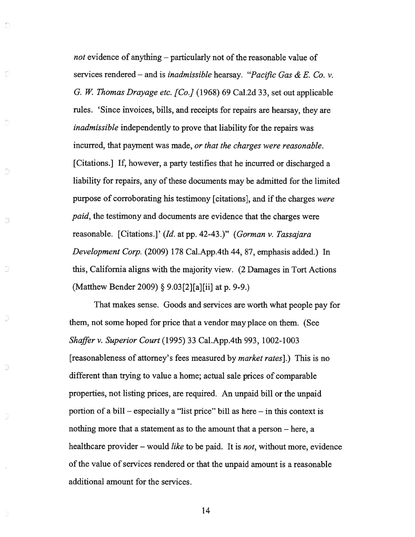not evidence of anything — particularly not of the reasonable value of services rendered – and is inadmissible hearsay. "Pacific Gas & E. Co. v. G. W. Thomas Drayage etc. [Co.] (1968) 69 Cal.2d 33, set out applicable rules. 'Since invoices, bills, and receipts for repairs are hearsay, they are inadmissible independently to prove that liability for the repairs was incurred, that paymen<sup>t</sup> was made, or that the charges were reasonable. [Citations.] If, however, <sup>a</sup> party testifies that he incurred or discharged <sup>a</sup> liability for repairs, any of these documents may be admitted for the limited purpose of corroborating his testimony [citations], and if the charges were paid, the testimony and documents are evidence that the charges were reasonable. [Citations.]' (Id. at pp. 42-43.)" (Gorman v. Tassajara Development Corp. (2009) 178 Cal.App.4th 44, 87, emphasis added.) In this, California aligns with the majority view. (2 Damages in Tort Actions (Matthew Bender 2009) § 9.03 [2] [a][ii] at p. 9-9.)

O

Ē

D

Ð

D

Э

D

That makes sense. Goods and services are worth what people pay for them, not some hoped for price that <sup>a</sup> vendor may place on them. (See Shaffer v. Superior Court (1995) 33 Cal.App.4th 993, 1002-1003 [reasonableness of attorney's fees measured by market rates].) This is no different than trying to value <sup>a</sup> home; actual sale prices of comparable properties, not listing prices, are required. An unpaid bill or the unpaid portion of <sup>a</sup> bill — especially <sup>a</sup> "list price" bill as here — in this context is nothing more that <sup>a</sup> statement as to the amount that <sup>a</sup> person — here, <sup>a</sup> healthcare provider – would *like* to be paid. It is *not*, without more, evidence of the value of services rendered or that the unpaid amount is a reasonable additional amount for the services.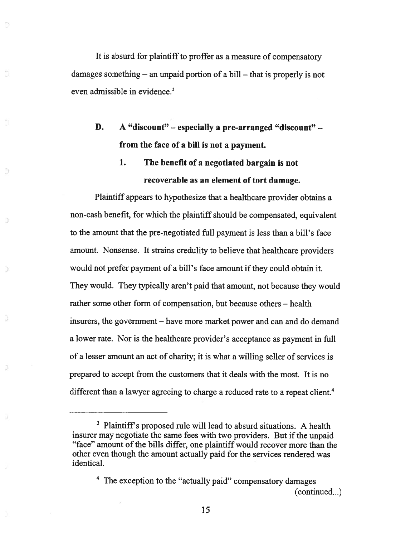It is absurd for plaintiff to proffer as a measure of compensatory damages something — an unpaid portion of <sup>a</sup> bill — that is properly is not even admissible in evidence.<sup>3</sup>

D. A "discount" — especially <sup>a</sup> pre-arranged "discount" from the face of <sup>a</sup> bill is not <sup>a</sup> payment.

### 1. The benefit of <sup>a</sup> negotiated bargain is not recoverable as an element of tort damage.

Plaintiff appears to hypothesize that <sup>a</sup> healthcare provider obtains <sup>a</sup> non-cash benefit, for which the plaintiff should be compensated, equivalent to the amount that the pre-negotiated full paymen<sup>t</sup> is less than <sup>a</sup> bill's face amount. Nonsense. It strains credulity to believe that healthcare providers would not prefer payment of a bill's face amount if they could obtain it. They would. They typically aren't paid that amount, not because they would rather some other form of compensation, but because others — health insurers, the governmen<sup>t</sup> — have more market power and can and do demand <sup>a</sup> lower rate. Nor is the bealthcare provider's acceptance as paymen<sup>t</sup> in full of a lesser amount an act of charity; it is what a willing seller of services is prepared to accep<sup>t</sup> from the customers that it deals with the most. It is no different than a lawyer agreeing to charge a reduced rate to a repeat client.<sup>4</sup>

<sup>&</sup>lt;sup>3</sup> Plaintiff's proposed rule will lead to absurd situations. A health insurer may negotiate the same fees with two providers. But if the unpaid "face" amount of the bills differ, one plaintiff would recover more than the other even though the amount actually paid for the services rendered was identical.

<sup>&</sup>lt;sup>4</sup> The exception to the "actually paid" compensatory damages (continued...)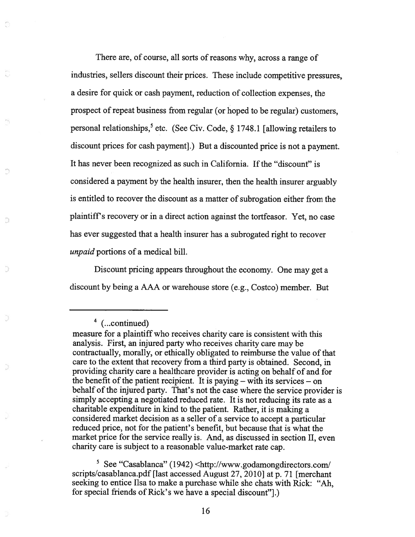There are, of course, all sorts of reasons why, across a range of industries, sellers discount their prices. These include competitive pressures, <sup>a</sup> desire for quick or cash payment, reduction of collection expenses, the prospect of repeat business from regular (or hoped to be regular) customers, personal relationships,<sup>5</sup> etc. (See Civ. Code,  $\S$  1748.1 [allowing retailers to discount prices for cash payment].) But <sup>a</sup> discounted price is not <sup>a</sup> payment. It has never been recognized as such in California. If the "discount" is considered <sup>a</sup> paymen<sup>t</sup> by the health insurer, then the health insurer arguably is entitled to recover the discount as <sup>a</sup> matter of subrogation either from the plaintiff's recovery or in <sup>a</sup> direct action against the tortfeasor. Yet, no case has ever suggested that <sup>a</sup> health insurer has <sup>a</sup> subrogated right to recover unpaid portions of a medical bill.

Discount pricing appears throughout the economy. One may ge<sup>t</sup> <sup>a</sup> discount by being <sup>a</sup> AAA or warehouse store (e.g., Costco) member. But

(...continued)

Ð

 $\frac{5}{1}$  See "Casablanca" (1942) <http://www.godamongdirectors.com/ scripts/casablanca.pdf [last accessed August 27, 2010] at p. <sup>71</sup> [merchant seeking to entice lisa to make <sup>a</sup> purchase while she chats with Rick: "Ah, for special friends of Rick's we have <sup>a</sup> special discount"].)

measure for <sup>a</sup> plaintiff who receives charity care is consistent with this analysis. First, an injured party who receives charity care may be contractually, morally, or ethically obligated to reimburse the value of that care to the extent that recovery from <sup>a</sup> third party is obtained. Second, in providing charity care <sup>a</sup> healthcare provider is acting on behalf of and for the benefit of the patient recipient. It is paying  $-$  with its services  $-$  on behalf of the injured party. That's not the case where the service provider is simply accepting <sup>a</sup> negotiated reduced rate. It is not reducing its rate as <sup>a</sup> charitable expenditure in kind to the patient. Rather, it is making <sup>a</sup> considered market decision as <sup>a</sup> seller of <sup>a</sup> service to accep<sup>t</sup> <sup>a</sup> particular reduced price, not for the patient's benefit, but because that is what the market price for the service really is. And, as discussed in section II, even charity care is subject to <sup>a</sup> reasonable value-market rate cap.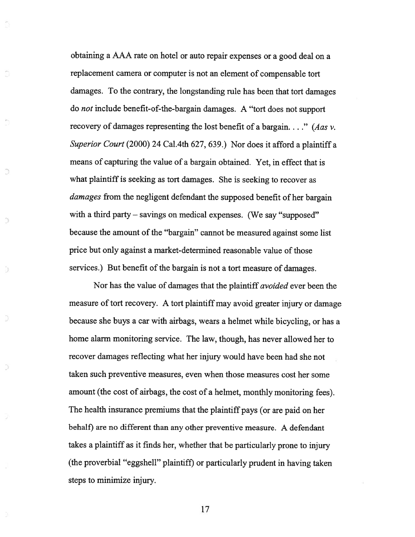obtaining <sup>a</sup> AAA rate on hotel or auto repair expenses or <sup>a</sup> good deal on <sup>a</sup> replacement camera or computer is not an element of compensable tort damages. To the contrary, the longstanding rule has been that tort damages do not include benefit-of-the-bargain damages. <sup>A</sup> "tort does not suppor<sup>t</sup> recovery of damages representing the lost benefit of a bargain..." (Aas  $v$ . Superior Court (2000) 24 Cal.4th 627, 639.) Nor does it afford a plaintiff a means of capturing the value of <sup>a</sup> bargain obtained. Yet, in effect that is what plaintiff is seeking as tort damages. She is seeking to recover as damages from the negligent defendant the supposed benefit of her bargain with a third party – savings on medical expenses. (We say "supposed" because the amount of the "bargain" cannot be measured against some list price but only against <sup>a</sup> market-determined reasonable value of those services.) But benefit of the bargain is not <sup>a</sup> tort measure of damages.

D

B

Nor has the value of damages that the plaintiff avoided ever been the measure of tort recovery. A tort plaintiff may avoid greater injury or damage because she buys <sup>a</sup> car with airbags, wears <sup>a</sup> helmet while bicycling, or has <sup>a</sup> home alarm monitoring service. The law, though, has never allowed her to recover damages reflecting what her injury would have been had she not taken such preventive measures, even when those measures cost her some amount (the cost of airbags, the cost of <sup>a</sup> helmet, monthly monitoring fees). The health insurance premiums that the <sup>p</sup>laintiff pays (or are paid on her behalf) are no different than any other preventive measure. A defendant takes <sup>a</sup> <sup>p</sup>laintiff as it finds her, whether that be particularly prone to injury (the proverbial "eggshell" <sup>p</sup>laintiff) or particularly prudent in having taken steps to minimize injury.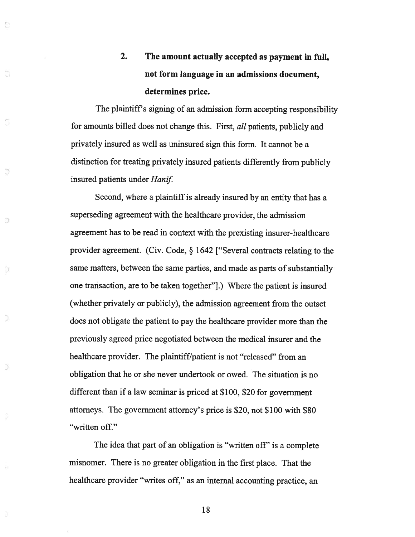# 2. The amount actually accepted as paymen<sup>t</sup> in full, not form language in an admissions document, determines price.

The <sup>p</sup>laintiff's signing of an admission form accepting responsibility for amounts billed does not change this. First, all patients, publicly and privately insured as well as uninsured sign this form. It cannot be <sup>a</sup> distinction for treating privately insured patients differently from publicly insured patients under Hanif.

Ġ

G

Э

D

Second, where <sup>a</sup> <sup>p</sup>laintiff is already insured by an entity that has <sup>a</sup> superseding agreemen<sup>t</sup> with the healthcare provider, the admission agreemen<sup>t</sup> has to be read in context with the prexisting insurer-healthcare provider agreement. (Civ. Code, § <sup>1642</sup> ["Several contracts relating to the same matters, between the same parties, and made as parts of substantially one transaction, are to be taken together"].) Where the patient is insured (whether privately or publicly), the admission agreemen<sup>t</sup> from the outset does not obligate the patient to pay the healthcare provider more than the previously agreed price negotiated between the medical insurer and the healthcare provider. The plaintiff/patient is not "released" from an obligation that he or she never undertook or owed. The situation is no different than if <sup>a</sup> law seminar is priced at \$100, \$20 for governmen<sup>t</sup> attorneys. The governmen<sup>t</sup> attorney's price is \$20, not \$100 with \$80 "written off."

The idea that par<sup>t</sup> of an obligation is "written off' is <sup>a</sup> complete misnomer. There is no greater obligation in the first <sup>p</sup>lace. That the healthcare provider "writes off," as an internal accounting practice, an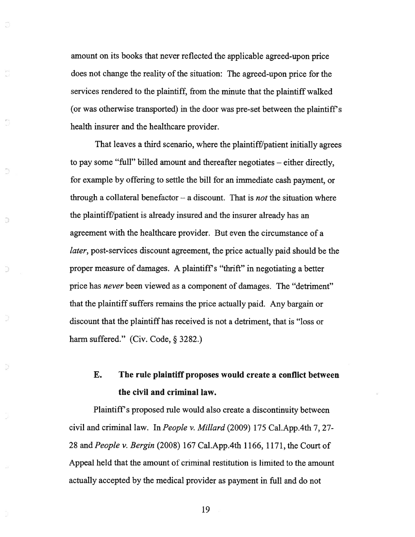amount on its books that never reflected the applicable agreed-upon price does not change the reality of the situation: The agreed-upon price for the services rendered to the plaintiff, from the minute that the plaintiff walked (or was otherwise transported) in the door was pre-se<sup>t</sup> between the plaintiff's health insurer and the healthcare provider.

That leaves <sup>a</sup> third scenario, where the plaintiff/patient initially agrees to pay some "full" billed amount and thereafter negotiates — either directly, for example by offering to settle the bill for an immediate cash payment, or through a collateral benefactor  $-$  a discount. That is *not* the situation where the plaintiff/patient is already insured and the insurer already has an agreemen<sup>t</sup> with the healthcare provider. But even the circumstance of <sup>a</sup> later, post-services discount agreement, the price actually paid should be the proper measure of damages. A plaintiff's "thrift" in negotiating <sup>a</sup> better price has never been viewed as <sup>a</sup> componen<sup>t</sup> of damages. The "detriment" that the plaintiff suffers remains the price actually paid. Any bargain or discount that the plaintiff has received is not <sup>a</sup> detriment, that is "loss or harm suffered." (Civ. Code, § 3282.)

a

Э

Ð

### E. The rule plaintiff proposes would create <sup>a</sup> conflict between the civil and criminal law.

Plaintiff's proposed rule would also create <sup>a</sup> discontinuity between civil and criminal law. In People v. Millard (2009) 175 Cal.App.4th 7, 27- 28 and People v. Bergin (2008) 167 Cal.App.4th 1166, 1171, the Court of Appeal held that the amount of criminal restitution is limited to the amount actually accepted by the medical provider as paymen<sup>t</sup> in full and do not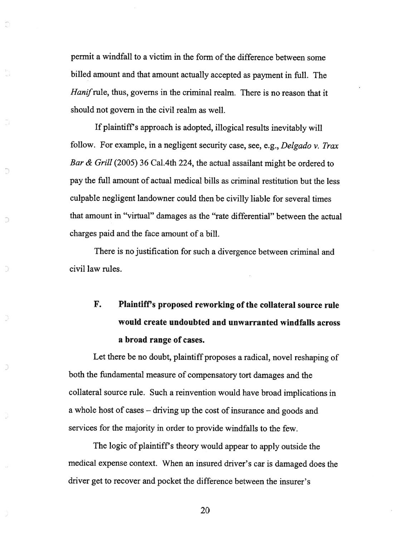permit a windfall to a victim in the form of the difference between some billed amount and that amount actually accepted as paymen<sup>t</sup> in full. The Hanif rule, thus, governs in the criminal realm. There is no reason that it should not govern in the civil realm as well.

If <sup>p</sup>laintiffs approac<sup>h</sup> is adopted, illogical results inevitably will follow. For example, in <sup>a</sup> negligent security case, see, e.g., Delgado v. Trax Bar & Grill (2005) 36 Cal.4th 224, the actual assailant might be ordered to pay the full amount of actual medical bills as criminal restitution but the less culpable negligent landowner could then be civilly liable for several times that amount in "virtual" damages as the "rate differential" between the actual charges paid and the face amount of <sup>a</sup> bill.

There is no justification for such <sup>a</sup> divergence between criminal and civil law rules.

 $\supseteq$ 

D

# F. Plaintiff's proposed reworking of the collateral source rule would create undoubted and unwarranted windfalls across <sup>a</sup> broad range of cases.

Let there be no doubt, <sup>p</sup>laintiff proposes <sup>a</sup> radical, novel reshaping of both the fundamental measure of compensatory tort damages and the collateral source rule. Such <sup>a</sup> reinvention would have broad implications in <sup>a</sup> whole host of cases — driving up the cost of insurance and goods and services for the majority in order to provide windfalls to the few.

The logic of <sup>p</sup>laintiff's theory would appear to apply outside the medical expense context. When an insured driver's car is damaged does the driver ge<sup>t</sup> to recover and pocket the difference between the insurer's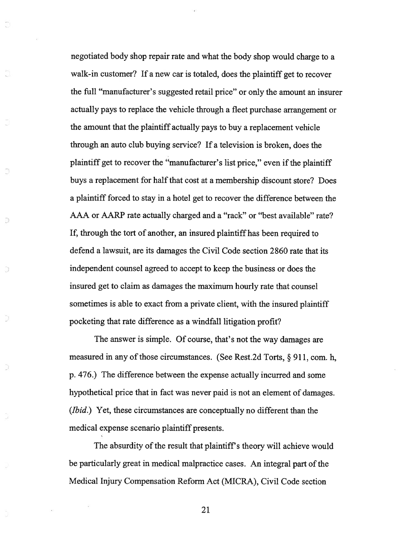negotiated body shop repair rate and what the body shop would charge to <sup>a</sup> walk-in customer? If <sup>a</sup> new car is totaled, does the plaintiff ge<sup>t</sup> to recover the full "manufacturer's suggested retail price" or only the amount an insurer actually pays to replace the vehicle through <sup>a</sup> fleet purchase arrangemen<sup>t</sup> or the amount that the plaintiff actually pays to buy <sup>a</sup> replacement vehicle through an auto club buying service? If <sup>a</sup> television is broken, does the plaintiff get to recover the "manufacturer's list price," even if the plaintiff buys <sup>a</sup> replacement for half that cost at <sup>a</sup> membership discount store? Does <sup>a</sup> plaintiff forced to stay in <sup>a</sup> hotel ge<sup>t</sup> to recover the difference between the AAA or AARP rate actually charged and <sup>a</sup> "rack" or "best available" rate? If, through the tort of another, an insured plaintiff has been required to defend <sup>a</sup> lawsuit, are its damages the Civil Code section 2860 rate that its independent counsel agreed to accep<sup>t</sup> to keep the business or does the insured ge<sup>t</sup> to claim as damages the maximum hourly rate that counsel sometimes is able to exact from <sup>a</sup> private client, with the insured plaintiff pocketing that rate difference as <sup>a</sup> windfall litigation profit?

Ð

The answer is simple. Of course, that's not the way damages are measured in any of those circumstances. (See Rest.2d Torts,  $\S$  911, com. h, p. 476.) The difference between the expense actually incurred and some hypothetical price that in fact was never paid is not an element of damages. (*Ibid.*) Yet, these circumstances are conceptually no different than the medical expense scenario plaintiff presents.

The absurdity of the result that plaintiff's theory will achieve would be particularly great in medical malpractice cases. An integral part of the Medical Injury Compensation Reform Act (MICRA), Civil Code section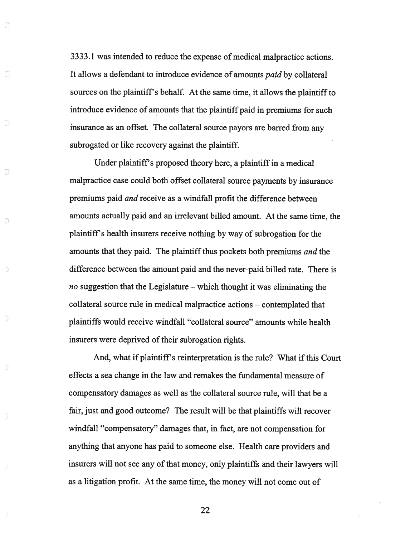3333.1 was intended to reduce the expense of medical malpractice actions. It allows <sup>a</sup> defendant to introduce evidence of amounts paid by collateral sources on the <sup>p</sup>laintiff's behalf. At the same time, it allows the <sup>p</sup>laintiff to introduce evidence of amounts that the plaintiff paid in premiums for such insurance as an offset. The collateral source payors are barred from any subrogated or like recovery against the plaintiff.

ĩ

Ð

Under plaintiff's proposed theory here, <sup>a</sup> plaintiff in <sup>a</sup> medical malpractice case could both offset collateral source payments by insurance premiums paid and receive as <sup>a</sup> windfall profit the difference between amounts actually paid and an irrelevant billed amount. At the same time, the plaintiff's health insurers receive nothing by way of subrogation for the amounts that they paid. The plaintiff thus pockets both premiums and the difference between the amount paid and the never-paid billed rate. There is no suggestion that the Legislature – which thought it was eliminating the collateral source rule in medical malpractice actions — contemplated that plaintiffs would receive windfall "collateral source" amounts while health insurers were deprived of their subrogation rights.

And, what if plaintiff's reinterpretation is the rule? What if this Court effects <sup>a</sup> sea change in the law and remakes the fundamental measure of compensatory damages as well as the collateral source rule, will that be <sup>a</sup> fair, just and good outcome? The result will be that plaintiffs will recover windfall "compensatory" damages that, in fact, are not compensation for anything that anyone has paid to someone else. Health care providers and insurers will not see any of that money, only plaintiffs and their lawyers will as <sup>a</sup> litigation profit. At the same time, the money will not come out of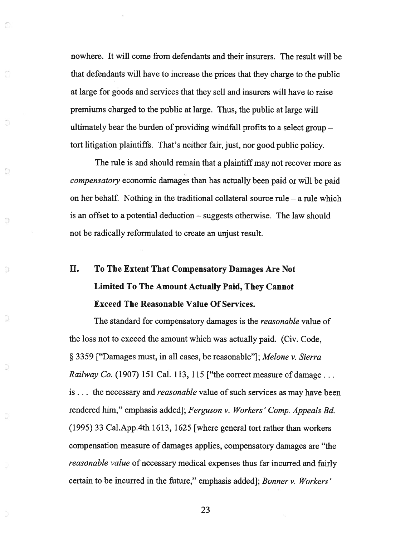nowhere. It will come from defendants and their insurers. The result will be that defendants will have to increase the prices that they charge to the public at large for goods and services that they sell and insurers will have to raise premiums charged to the public at large. Thus, the public at large will ultimately bear the burden of providing windfall profits to <sup>a</sup> select group tort litigation plaintiffs. That's neither fair, just, nor good public policy.

O

9

Ð

The rule is and should remain that <sup>a</sup> plaintiff may not recover more as compensatory economic damages than has actually been paid or will be paid on her behalf. Nothing in the traditional collateral source rule — <sup>a</sup> rule which is an offset to <sup>a</sup> potential deduction — suggests otherwise. The law should not be radically reformulated to create an unjust result.

# II. To The Extent That Compensatory Damages Are Not Limited To The Amount Actually Paid, They Cannot Exceed The Reasonable Value Of Services.

The standard for compensatory damages is the *reasonable* value of the loss not to exceed the amount which was actually paid. (Civ. Code, § <sup>3359</sup> ["Damages must, in all cases, be reasonable"]; Melone v. Sierra *Railway Co.* (1907) 151 Cal. 113, 115 ["the correct measure of damage... is... the necessary and reasonable value of such services as may have been rendered him," emphasis added]; Ferguson v. Workers' Comp. Appeals Bd. (1995) 33 Cal.App.4th 1613, 1625 [where general tort rather than workers compensation measure of damages applies, compensatory damages are "the reasonable value of necessary medical expenses thus far incurred and fairly certain to be incurred in the future," emphasis added]; Bonner v. Workers'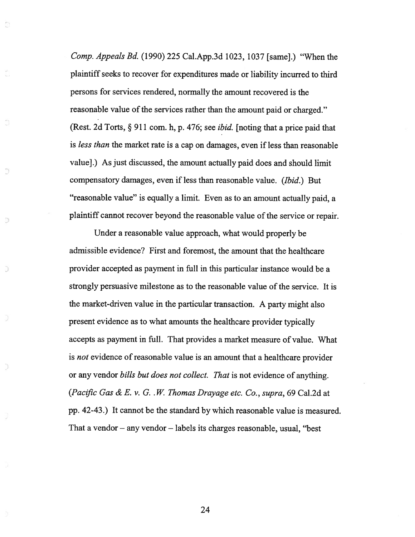Comp. Appeals Bd. (1990) 225 Cal.App.3d 1023, 1037 [same].) "When the <sup>p</sup>laintiffseeks to recover for expenditures made or liability incurred to third persons for services rendered, normally the amount recovered is the reasonable value of the services rather than the amount paid or charged." (Rest. 2d Torts,  $\S 911$  com. h, p. 476; see *ibid*. [noting that a price paid that is less than the market rate is <sup>a</sup> cap on damages, even if less than reasonable value].) As just discussed, the amount actually paid does and should limit compensatory damages, even if less than reasonable value. (Ibid.) But "reasonable value" is equally <sup>a</sup> limit. Even as to an amount actually paid, <sup>a</sup> plaintiff cannot recover beyond the reasonable value of the service or repair.

Ű

Đ

Under <sup>a</sup> reasonable value approach, what would properly be admissible evidence? First and foremost, the amount that the healthcare provider accepted as paymen<sup>t</sup> in full in this particular instance would be <sup>a</sup> strongly persuasive milestone as to the reasonable value of the service. It is the market-driven value in the particular transaction. <sup>A</sup> party might also presen<sup>t</sup> evidence as to what amounts the healthcare provider typically accepts as paymen<sup>t</sup> in full. That provides <sup>a</sup> market measure of value. What is *not* evidence of reasonable value is an amount that a healthcare provider or any vendor bills but does not collect. That is not evidence of anything. (Pacific Gas & E. v. G.  $W$ . Thomas Drayage etc. Co., supra, 69 Cal.2d at pp. 42-43.) It cannot be the standard by which reasonable value is measured. That <sup>a</sup> vendor — any vendor — labels its charges reasonable, usual, "best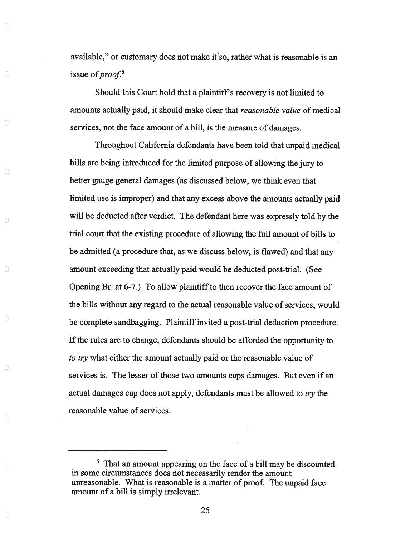available," or customary does not make it so, rather what is reasonable is an issue of  $proof<sup>6</sup>$ 

Should this Court hold that <sup>a</sup> plaintiff's recovery is not limited to amounts actually paid, it should make clear that *reasonable value* of medical services, not the face amount of <sup>a</sup> bill, is the measure of damages.

Ö

O.

Ð

D

Throughout California defendants have been told that unpaid medical bills are being introduced for the limited purpose of allowing the jury to better gauge general damages (as discussed below, we think even that limited use is improper) and that any excess above the amounts actually paid will be deducted after verdict. The defendant here was expressly told by the trial court that the existing procedure of allowing the full amount of bills to be admitted (a procedure that, as we discuss below, is flawed) and that any amount exceeding that actually paid would be deducted post-trial. (See Opening Br. at 6-7.) To allow plaintiff to then recover the face amount of the bills without any regard to the actual reasonable value of services, would be complete sandbagging. Plaintiff invited a post-trial deduction procedure. If the rules are to change, defendants should be afforded the opportunity to to try what either the amount actually paid or the reasonable value of services is. The lesser of those two amounts caps damages. But even if an actual damages cap does not apply, defendants must be allowed to try the reasonable value of services.

<sup>6</sup> That an amount appearing on the face of <sup>a</sup> bill may be discounted in some circumstances does not necessarily render the amount unreasonable. What is reasonable is <sup>a</sup> matter of proof. The unpaid face amount of <sup>a</sup> bill is simply irrelevant.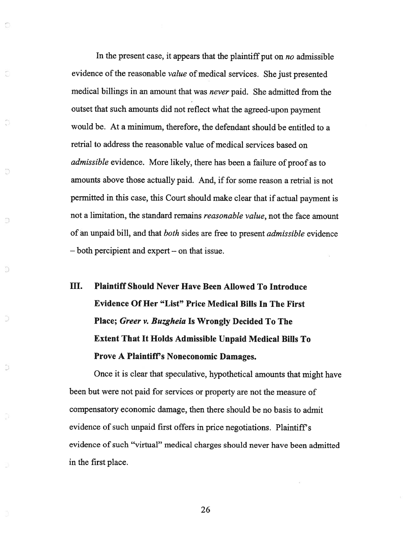In the present case, it appears that the plaintiff put on no admissible evidence of the reasonable *value* of medical services. She just presented medical billings in an amount that was never paid. She admitted from the outset that such amounts did not reflect what the agreed-upon paymen<sup>t</sup> would be. At <sup>a</sup> minimum, therefore, the defendant should be entitled to <sup>a</sup> retrial to address the reasonable value of medical services based on admissible evidence. More likely, there has been <sup>a</sup> failure of proof as to amounts above those actually paid. And, if for some reason <sup>a</sup> retrial is not permitted in this case, this Court should make clear that if actual paymen<sup>t</sup> is not <sup>a</sup> limitation, the standard remains reasonable value, not the face amount of an unpaid bill, and that both sides are free to presen<sup>t</sup> admissible evidence — both percipient and exper<sup>t</sup> — on that issue.

O

Õ

D

D

D

# III. Plaintiff Should Never Have Been Allowed To Introduce Evidence Of Her "List" Price Medical Bills In The First Place; Greer v. Buzgheia Is Wrongly Decided To The Extent That It Holds Admissible Unpaid Medical Bills To Prove A Plaintiff's Noneconomic Damages.

Once it is clear that speculative, hypothetical amounts that might have been but were not paid for services or property are not the measure of compensatory economic damage, then there should be no basis to admit evidence of such unpaid first offers in price negotiations. Plaintiff's evidence of such "virtual" medical charges should never have been admitted in the first place.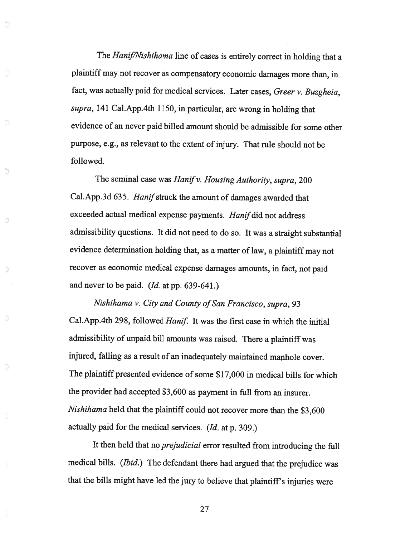The Hanif/Nishihama line of cases is entirely correct in holding that a plaintiff may not recover as compensatory economic damages more than, in fact, was actually paid for medical services. Later cases, Greer v. Buzgheia, supra, <sup>141</sup> Cal.App.4th 1150, in particular, are wrong in holding that evidence of an never paid billed amount should be admissible for some other purpose, e.g., as relevant to the extent of injury. That rule should not be followed.

ā

ŋ,

ð

D

d

ð

The seminal case was *Hanif v. Housing Authority, supra,* 200 Cal. App. 3d 635. Hanif struck the amount of damages awarded that exceeded actual medical expense payments. Hanif did not address admissibility questions. It did not need to do so. It was <sup>a</sup> straight substantial evidence determination holding that, as a matter of law, a plaintiff may not recover as economic medical expense damages amounts, in fact, not paid and never to be paid. (Id. at pp. 639-641.)

Nishihama v. City and County of San Francisco, supra, 93 Cal.App.4th 298, followed Hanif. It was the first case in which the initial admissibility of unpaid bill amounts was raised. There <sup>a</sup> <sup>p</sup>laintiff was injured, falling as <sup>a</sup> result of an inadequately maintained manhole cover. The <sup>p</sup>laintiff presented evidence of some \$17,000 in medical bills for which the provider had accepted \$3,600 as payment in full from an insurer. Nishihama held that the <sup>p</sup>laintiff could not recover more than the \$3,600 actually paid for the medical services. (Id. at p. 309.)

It then held that no prejudicial error resulted from introducing the full medical bills. (Ibid.) The defendant there had argued that the prejudice was that the bills might have led the jury to believe that <sup>p</sup>laintiff's injuries were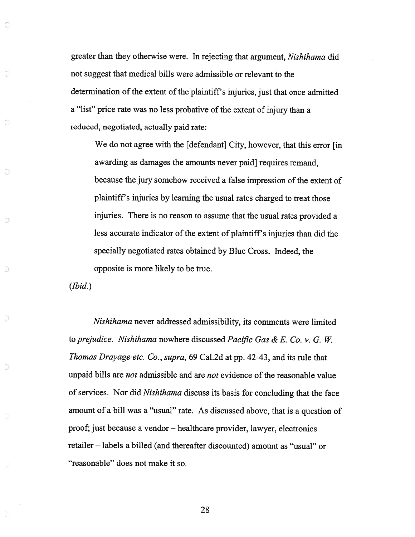greater than they otherwise were. In rejecting that argument, Nishihama did not sugges<sup>t</sup> that medical bills were admissible or relevant to the determination of the extent of the plaintiff's injuries, just that once admitted <sup>a</sup> "list" price rate was no less probative of the extent of injury than <sup>a</sup> reduced, negotiated, actually paid rate:

We do not agree with the [defendant] City, however, that this error [in awarding as damages the amounts never paid] requires remand, because the jury somehow received a false impression of the extent of <sup>p</sup>laintiff's injuries by learning the usual rates charged to treat those injuries. There is no reason to assume that the usual rates provided <sup>a</sup> less accurate indicator of the extent of plaintiff's injuries than did the specially negotiated rates obtained by Blue Cross. Indeed, the opposite is more likely to be true.

(Ibid.)

O

O

Ū

Ð

D

D

Nishihama never addressed admissibility, its comments were limited to prejudice. Nishihama nowhere discussed Pacific Gas & E. Co. v. G. W. Thomas Drayage etc. Co., supra, <sup>69</sup> Cal.2d at pp. 42-43, and its rule that unpaid bills are *not* admissible and are *not* evidence of the reasonable value of services. Nor did Nishihama discuss its basis for concluding that the face amount of <sup>a</sup> bill was <sup>a</sup> "usual" rate. As discussed above, that is <sup>a</sup> question of proof; just because a vendor – healthcare provider, lawyer, electronics retailer — labels <sup>a</sup> billed (and thereafter discounted) amount as "usual" or "reasonable" does not make it so.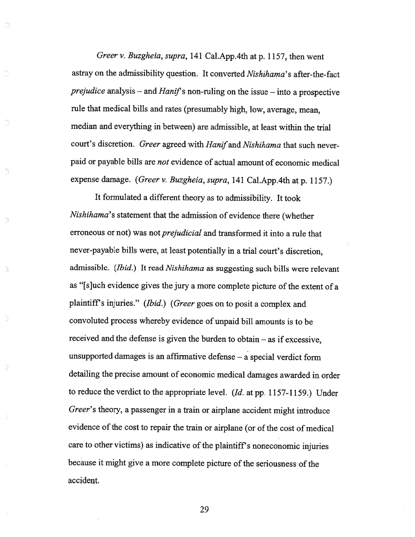Greer v. Buzgheia, supra, <sup>141</sup> Cal.App.4th at p. 1157, then went astray on the admissibility question. It converted Nishihama's after-the-fact prejudice analysis – and Hanif's non-ruling on the issue – into a prospective rule that medical bills and rates (presumably high, low, average, mean, median and everything in between) are admissible, at least within the trial court's discretion. Greer agreed with Hanif and Nishihama that such neverpaid or payable bills are not evidence of actual amount of economic medical expense damage. (Greer v. Buzgheia, supra, <sup>141</sup> Cal.App.4th at p. 1157.)

D

D

C

 $\overline{1}$ 

J)

э

It formulated <sup>a</sup> different theory as to admissibility. It took Nishihama's statement that the admission of evidence there (whether erroneous or not) was not prejudicial and transformed it into <sup>a</sup> rule that never-payable bills were, at least potentially in <sup>a</sup> trial court's discretion, admissible. (Ibid.) It read Nishihama as suggesting such bills were relevant as "[s]uch evidence <sup>g</sup>ives the jury <sup>a</sup> more complete <sup>p</sup>icture of the extent of <sup>a</sup> <sup>p</sup>laintiff's injuries." (Ibid.) (Greer goes on to posit <sup>a</sup> complex and convoluted process whereby evidence of unpaid bill amounts is to be received and the defense is <sup>g</sup>iven the burden to obtain — as if excessive, unsupported damages is an affirmative defense — <sup>a</sup> special verdict form detailing the precise amount of economic medical damages awarded in order to reduce the verdict to the appropriate level. (Id. at pp. 1157-1159.) Under Greer's theory, <sup>a</sup> passenger in <sup>a</sup> train or airplane accident might introduce evidence of the cost to repair the train or airplane (or of the cost of medical care to other victims) as indicative of the <sup>p</sup>laintiff's noneconomic injuries because it might <sup>g</sup>ive <sup>a</sup> more complete <sup>p</sup>icture of the seriousness of the accident.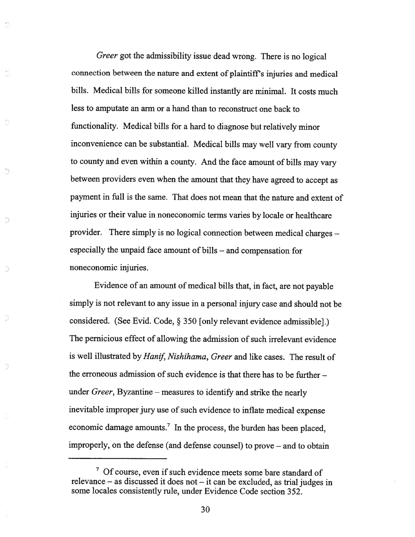Greer go<sup>t</sup> the admissibility issue dead wrong. There is no logical connection between the nature and extent of <sup>p</sup>laintiff's injuries and medical bills. Medical bills for someone killed instantly are minimal. It costs much less to amputate an arm or <sup>a</sup> hand than to reconstruct one back to functionality. Medical bills for <sup>a</sup> hard to diagnose but relatively minor inconvenience can be substantial. Medical bills may well vary from county to county and even within <sup>a</sup> county. And the face amount of bills may vary between providers even when the amount that they have agree<sup>d</sup> to accep<sup>t</sup> as paymen<sup>t</sup> in full is the same. That does not mean that the nature and extent of injuries or their value in noneconomic terms varies by locale or healthcare provider. There simply is no logical connection between medical charges especially the unpaid face amount of bills — and compensation for noneconomic injuries.

O

Ð

D

Ð

Evidence of an amount of medical bills that, in fact, are not payable simply is not relevant to any issue in <sup>a</sup> persona<sup>l</sup> injury case and should not be considered. (See Evid. Code, § <sup>350</sup> [only relevant evidence admissible].) The pernicious effect of allowing the admission of such irrelevant evidence is well illustrated by Hanif, Nishihama, Greer and like cases. The result of the erroneous admission of such evidence is that there has to be further under Greer, Byzantine — measures to identify and strike the nearly inevitable improper jury use of such evidence to inflate medical expense economic damage amounts.<sup>7</sup> In the process, the burden has been placed, improperly, on the defense (and defense counsel) to prove — and to obtain

<sup>&</sup>lt;sup>7</sup> Of course, even if such evidence meets some bare standard of relevance — as discussed it does not — it can be excluded, as trial judges in some locales consistently rule, under Evidence Code section 352.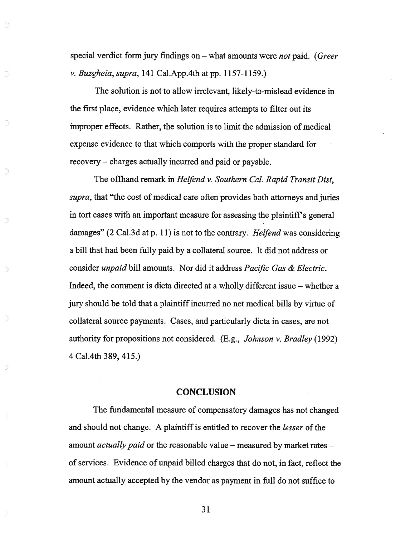special verdict form jury findings on  $-$  what amounts were *not* paid. (Greer v. Buzgheia, supra, <sup>141</sup> Cal.App.4th at pp. 1157-1159.)

The solution is not to allow irrelevant, likely-to-mislead evidence in the first place, evidence which later requires attempts to filter out its improper effects. Rather, the solution is to limit the admission of medical expense evidence to that which comports with the proper standard for recovery — charges actually incurred and paid or payable.

The offhand remark in Helfend v. Southern Cal. Rapid Transit Dist, supra, that "the cost of medical care often provides both attorneys and juries in tort cases with an important measure for assessing the plaintiff's general damages" (2 Cal.3d at p. 11) is not to the contrary. *Helfend* was considering <sup>a</sup> bill that had been fuliy paid by <sup>a</sup> collateral source. It did not address or consider unpaid bill amounts. Nor did it address Pacific Gas & Electric. Indeed, the comment is dicta directed at <sup>a</sup> wholly different issue — whether <sup>a</sup> jury should be told that <sup>a</sup> plaintiff incurred no net medical bills by virtue of collateral source payments. Cases, and particularly dicta in cases, are not authority for propositions not considered.  $(E.g., *Johnson v. Bradley* (1992)$ 4 Cal.4th 389, 415.)

Э

#### **CONCLUSION**

The fundamental measure of compensatory damages has not changed and should not change. A plaintiff is entitled to recover the *lesser* of the amount *actually paid* or the reasonable value – measured by market rates – of services. Evidence of unpaid billed charges that do not, in fact, reflect the amount actually accepted by the vendor as paymen<sup>t</sup> in full do not suffice to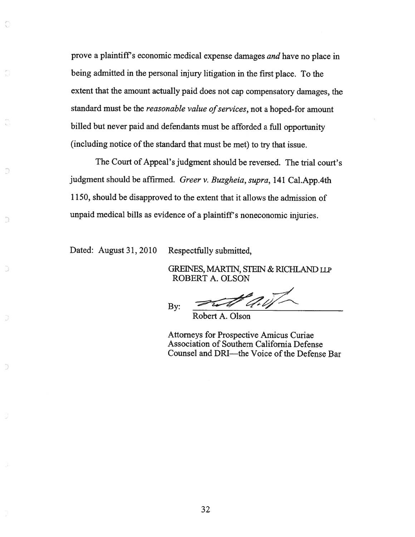prove <sup>a</sup> <sup>p</sup>laintiff's economic medical expense damages and have no <sup>p</sup>lace in being admitted in the persona<sup>l</sup> injury litigation in the first <sup>p</sup>lace. To the extent that the amount actually paid does not cap compensatory damages, the standard must be the *reasonable value of services*, not a hoped-for amount billed but never paid and defendants must be afforded <sup>a</sup> full opportunity (including notice of the standard that must be met) to try that issue.

The Court of Appeal's judgment should be reversed. The trial court's judgment should be affirmed. Greer v. Buzgheia, supra, 141 Cal.App.4th 1150, should be disapproved to the extent that it allows the admission of unpaid medical bills as evidence of <sup>a</sup> <sup>p</sup>laintiff's noneconomic injuries.

Dated: August 31, 2010 Respectfully submitted,

Ō

Đ

D.

Ð

GREINES, MARTIN, STEIN & RICHLAND LLP ROBERT A. OLSON

By:  $\sim$   $\sim$   $\sim$   $\sim$ 

Robert A. Olson

Attorneys for Prospective Amicus Curiae Association of Southern California Defense Counsel and DRI—the Voice of the Defense Bar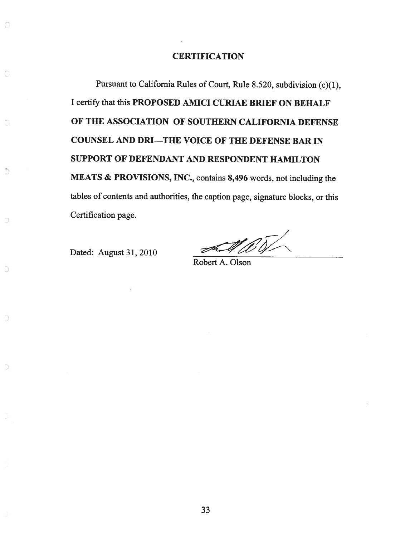#### **CERTIFICATION**

Pursuant to California Rules of Court, Rule 8.520, subdivision (c)(l), I certify that this PROPOSED AMICI CURIAE BRIEF ON BEHALF OF THE ASSOCIATION OF SOUTHERN CALIFORNIA DEFENSE COUNSEL AND DRI—THE VOICE OF THE DEFENSE BAR IN SUPPORT OF DEFENDANT AND RESPONDENT HAMILTON MEATS & PROVISIONS, INC., contains 8,496 words, not including the tables of contents and authorities, the caption page, signature blocks, or this Certification page.

Dated: August 31, 2010

Û

Ď

5

D

 $\Omega$ 

 $\mathscr{A}_\text{Robert A. Olson}$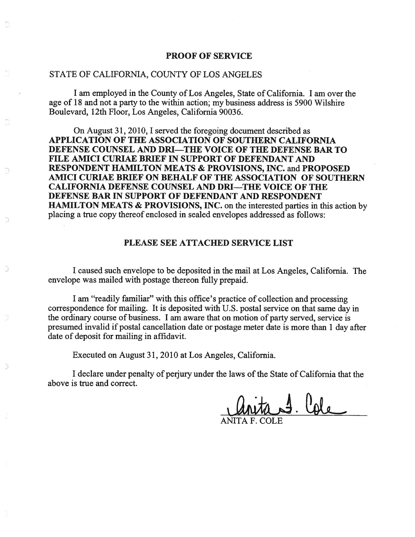#### PROOF OF SERVICE

#### STATE OF CALIFORNIA, COUNTY OF LOS ANGELES

I am employed in the County of Los Angeles, State of California. I am over the age of 18 and not <sup>a</sup> party to the within action; my business address is 5900 Wilshire Boulevard, 12th Floor, Los Angeles, California 90036.

On August 31, 2010, I served the foregoing document described as APPLICATION OF THE ASSOCIATION OF SOUTHERN CALIFORNIA DEFENSE COUNSEL AND DRI—THE VOICE OF THE DEFENSE BAR TO FILE AMICI CURIAE BRIEF IN SUPPORT OF DEFENDANT AND RESPONDENT HAMILTON MEATS & PROVISIONS, INC. and PROPOSED AMICI CURIAE BRIEF ON BEHALF OF THE ASSOCIATION OF SOUTHERN CALIFORNIA DEFENSE COUNSEL AND DRI—THE VOICE OF THE DEFENSE BAR IN SUPPORT OF DEFENDANT AND RESPONDENT HAMILTON MEATS & PROVISIONS, INC. on the interested parties in this action by placing <sup>a</sup> true copy thereof enclosed in sealed envelopes addressed as follows:

#### PLEASE SEE ATTACHED SERVICE LIST

<sup>I</sup> caused such envelope to be deposited in the mail at Los Angeles, California. The envelope was mailed with postage thereon fully prepaid.

<sup>I</sup> am "readily familiar" with this office's practice of collection and processing correspondence for mailing. It is deposited with U.S. postal service on that same day in the ordinary course of business. I am aware that on motion of party served, service is presumed invalid if postal cancellation date or postage meter date is more than 1 day after date of deposit for mailing in affidavit.

Executed on August 31, 2010 at Los Angeles, California.

Ð.

I declare under penalty of perjury under the laws ofthe State of California that the above is true and correct.

 $4.$  Cole

ANITA F. COLE